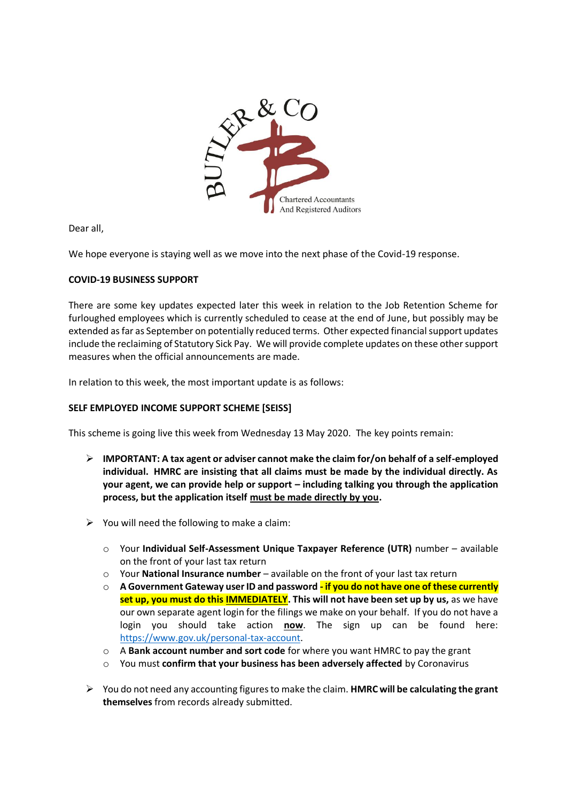

Dear all,

We hope everyone is staying well as we move into the next phase of the Covid-19 response.

## **COVID-19 BUSINESS SUPPORT**

There are some key updates expected later this week in relation to the Job Retention Scheme for furloughed employees which is currently scheduled to cease at the end of June, but possibly may be extended as far as September on potentially reduced terms. Other expected financial support updates include the reclaiming of Statutory Sick Pay. We will provide complete updates on these other support measures when the official announcements are made.

In relation to this week, the most important update is as follows:

## **SELF EMPLOYED INCOME SUPPORT SCHEME [SEISS]**

This scheme is going live this week from Wednesday 13 May 2020. The key points remain:

- **IMPORTANT: A tax agent or adviser cannot make the claim for/on behalf of a self-employed individual. HMRC are insisting that all claims must be made by the individual directly. As your agent, we can provide help or support – including talking you through the application process, but the application itself must be made directly by you.**
- $\triangleright$  You will need the following to make a claim:
	- o Your **Individual Self-Assessment Unique Taxpayer Reference (UTR)** number available on the front of your last tax return
	- o Your **National Insurance number**  available on the front of your last tax return
	- o **A Government Gateway user ID and password - if you do not have one of these currently set up, you must do this IMMEDIATELY. This will not have been set up by us,** as we have our own separate agent login for the filings we make on your behalf. If you do not have a login you should take action **now**. The sign up can be found here: [https://www.gov.uk/personal-tax-account.](https://www.gov.uk/personal-tax-account)
	- o A **Bank account number and sort code** for where you want HMRC to pay the grant
	- o You must **confirm that your business has been adversely affected** by Coronavirus
- You do not need any accounting figures to make the claim. **HMRC will be calculating the grant themselves** from records already submitted.